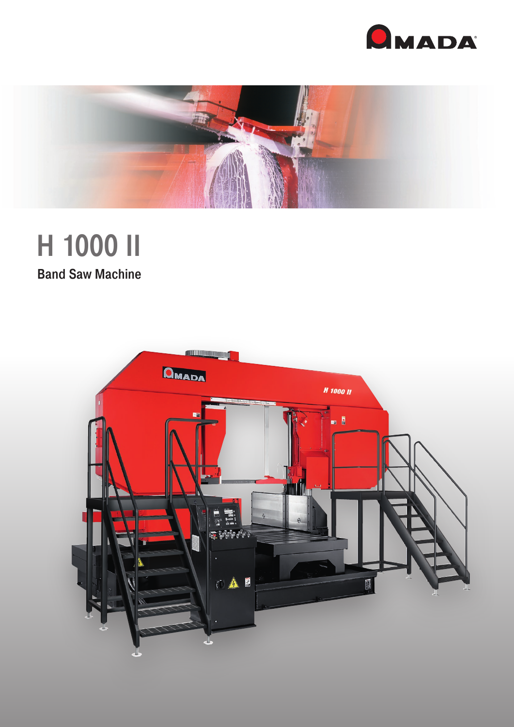



# H 1000 II

**Band Saw Machine**